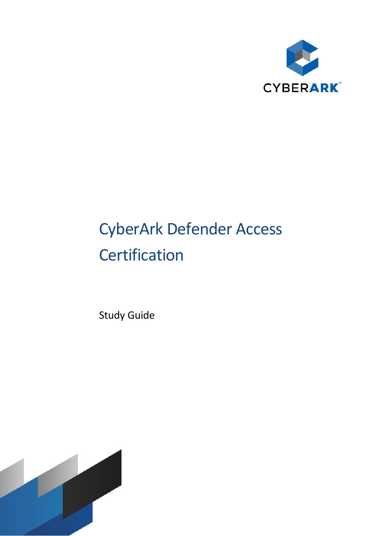

# CyberArk Defender Access **Certification**

Study Guide

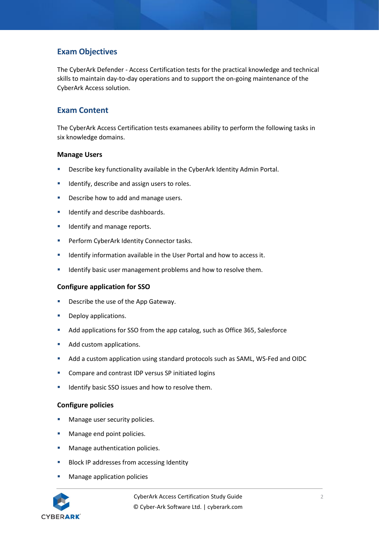# **Exam Objectives**

The CyberArk Defender - Access Certification tests for the practical knowledge and technical skills to maintain day-to-day operations and to support the on-going maintenance of the CyberArk Access solution.

# **Exam Content**

The CyberArk Access Certification tests examanees ability to perform the following tasks in six knowledge domains.

#### **Manage Users**

- Describe key functionality available in the CyberArk Identity Admin Portal.
- Identify, describe and assign users to roles.
- Describe how to add and manage users.
- Identify and describe dashboards.
- Identify and manage reports.
- Perform CyberArk Identity Connector tasks.
- Identify information available in the User Portal and how to access it.
- **E** Identify basic user management problems and how to resolve them.

## **Configure application for SSO**

- Describe the use of the App Gateway.
- Deploy applications.
- Add applications for SSO from the app catalog, such as Office 365, Salesforce
- Add custom applications.
- Add a custom application using standard protocols such as SAML, WS-Fed and OIDC
- Compare and contrast IDP versus SP initiated logins
- Identify basic SSO issues and how to resolve them.

#### **Configure policies**

- Manage user security policies.
- Manage end point policies.
- Manage authentication policies.
- Block IP addresses from accessing Identity
- Manage application policies

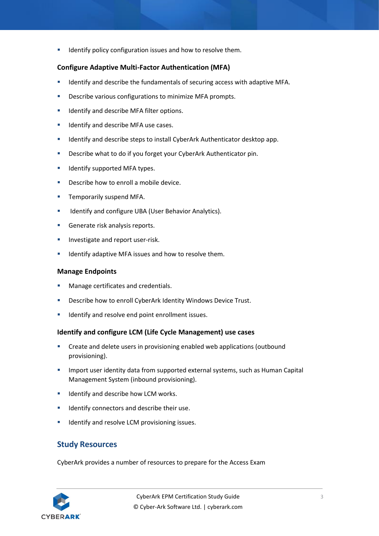**E** Identify policy configuration issues and how to resolve them.

# **Configure Adaptive Multi-Factor Authentication (MFA)**

- **■** Identify and describe the fundamentals of securing access with adaptive MFA.
- Describe various configurations to minimize MFA prompts.
- Identify and describe MFA filter options.
- **■** Identify and describe MFA use cases.
- **E** Identify and describe steps to install CyberArk Authenticator desktop app.
- **E** Describe what to do if you forget your CyberArk Authenticator pin.
- Identify supported MFA types.
- Describe how to enroll a mobile device.
- Temporarily suspend MFA.
- Identify and configure UBA (User Behavior Analytics).
- Generate risk analysis reports.
- Investigate and report user-risk.
- Identify adaptive MFA issues and how to resolve them.

#### **Manage Endpoints**

- Manage certificates and credentials.
- Describe how to enroll CyberArk Identity Windows Device Trust.
- Identify and resolve end point enrollment issues.

## **Identify and configure LCM (Life Cycle Management) use cases**

- Create and delete users in provisioning enabled web applications (outbound provisioning).
- **■** Import user identity data from supported external systems, such as Human Capital Management System (inbound provisioning).
- Identify and describe how LCM works.
- Identify connectors and describe their use.
- Identify and resolve LCM provisioning issues.

# **Study Resources**

CyberArk provides a number of resources to prepare for the Access Exam